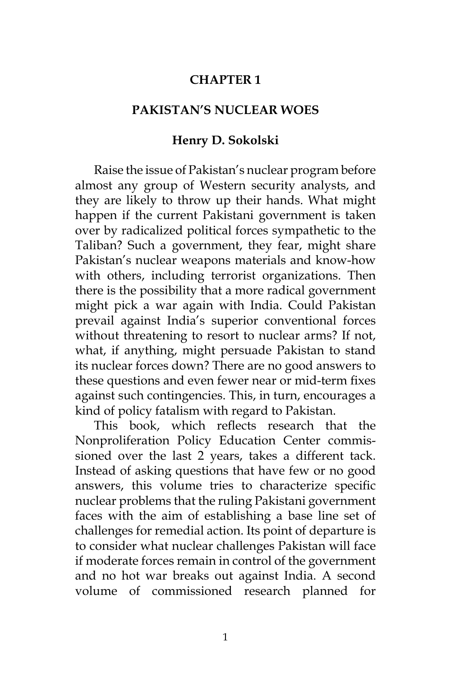## **CHAPTER 1**

## **PAKISTAN'S NUCLEAR WOES**

## **Henry D. Sokolski**

Raise the issue of Pakistan's nuclear program before almost any group of Western security analysts, and they are likely to throw up their hands. What might happen if the current Pakistani government is taken over by radicalized political forces sympathetic to the Taliban? Such a government, they fear, might share Pakistan's nuclear weapons materials and know-how with others, including terrorist organizations. Then there is the possibility that a more radical government might pick a war again with India. Could Pakistan prevail against India's superior conventional forces without threatening to resort to nuclear arms? If not, what, if anything, might persuade Pakistan to stand its nuclear forces down? There are no good answers to these questions and even fewer near or mid-term fixes against such contingencies. This, in turn, encourages a kind of policy fatalism with regard to Pakistan.

This book, which reflects research that the Nonproliferation Policy Education Center commissioned over the last 2 years, takes a different tack. Instead of asking questions that have few or no good answers, this volume tries to characterize specific nuclear problems that the ruling Pakistani government faces with the aim of establishing a base line set of challenges for remedial action. Its point of departure is to consider what nuclear challenges Pakistan will face if moderate forces remain in control of the government and no hot war breaks out against India. A second volume of commissioned research planned for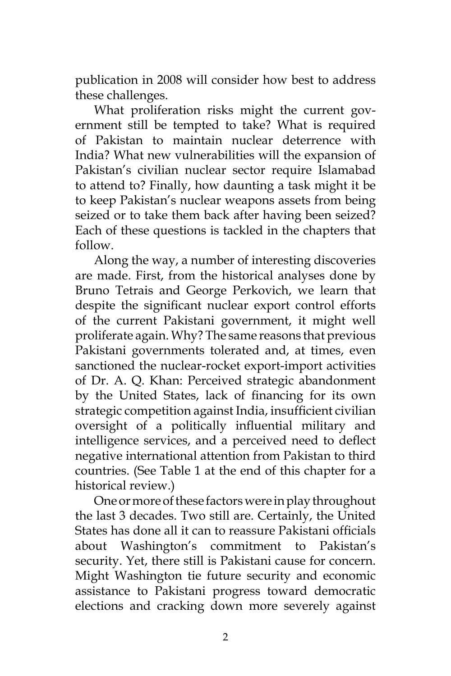publication in 2008 will consider how best to address these challenges.

What proliferation risks might the current government still be tempted to take? What is required of Pakistan to maintain nuclear deterrence with India? What new vulnerabilities will the expansion of Pakistan's civilian nuclear sector require Islamabad to attend to? Finally, how daunting a task might it be to keep Pakistan's nuclear weapons assets from being seized or to take them back after having been seized? Each of these questions is tackled in the chapters that follow.

Along the way, a number of interesting discoveries are made. First, from the historical analyses done by Bruno Tetrais and George Perkovich, we learn that despite the significant nuclear export control efforts of the current Pakistani government, it might well proliferate again. Why? The same reasons that previous Pakistani governments tolerated and, at times, even sanctioned the nuclear-rocket export-import activities of Dr. A. Q. Khan: Perceived strategic abandonment by the United States, lack of financing for its own strategic competition against India, insufficient civilian oversight of a politically influential military and intelligence services, and a perceived need to deflect negative international attention from Pakistan to third countries. (See Table 1 at the end of this chapter for a historical review.)

One or more of these factors were in play throughout the last 3 decades. Two still are. Certainly, the United States has done all it can to reassure Pakistani officials about Washington's commitment to Pakistan's security. Yet, there still is Pakistani cause for concern. Might Washington tie future security and economic assistance to Pakistani progress toward democratic elections and cracking down more severely against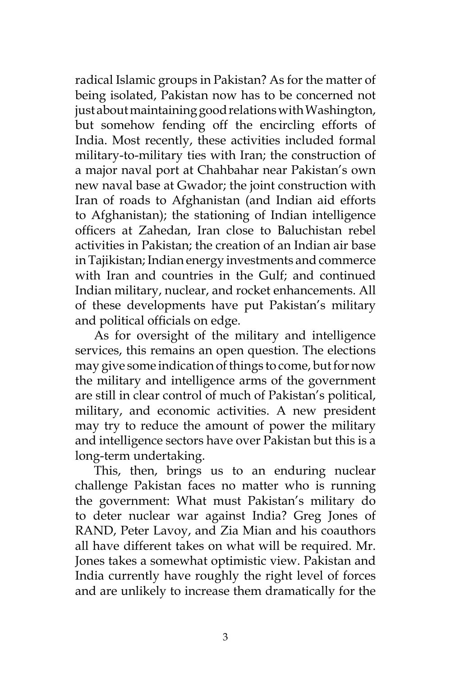radical Islamic groups in Pakistan? As for the matter of being isolated, Pakistan now has to be concerned not just about maintaining good relations with Washington, but somehow fending off the encircling efforts of India. Most recently, these activities included formal military-to-military ties with Iran; the construction of a major naval port at Chahbahar near Pakistan's own new naval base at Gwador; the joint construction with Iran of roads to Afghanistan (and Indian aid efforts to Afghanistan); the stationing of Indian intelligence officers at Zahedan, Iran close to Baluchistan rebel activities in Pakistan; the creation of an Indian air base in Tajikistan; Indian energy investments and commerce with Iran and countries in the Gulf; and continued Indian military, nuclear, and rocket enhancements. All of these developments have put Pakistan's military and political officials on edge.

As for oversight of the military and intelligence services, this remains an open question. The elections may give some indication of things to come, but for now the military and intelligence arms of the government are still in clear control of much of Pakistan's political, military, and economic activities. A new president may try to reduce the amount of power the military and intelligence sectors have over Pakistan but this is a long-term undertaking.

This, then, brings us to an enduring nuclear challenge Pakistan faces no matter who is running the government: What must Pakistan's military do to deter nuclear war against India? Greg Jones of RAND, Peter Lavoy, and Zia Mian and his coauthors all have different takes on what will be required. Mr. Jones takes a somewhat optimistic view. Pakistan and India currently have roughly the right level of forces and are unlikely to increase them dramatically for the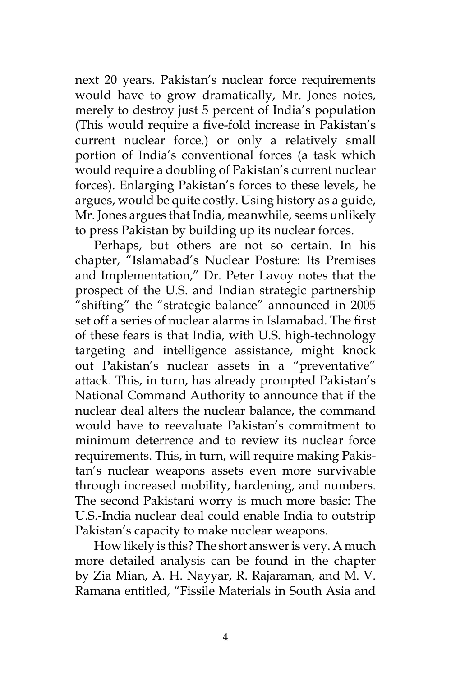next 20 years. Pakistan's nuclear force requirements would have to grow dramatically, Mr. Jones notes, merely to destroy just 5 percent of India's population (This would require a five-fold increase in Pakistan's current nuclear force.) or only a relatively small portion of India's conventional forces (a task which would require a doubling of Pakistan's current nuclear forces). Enlarging Pakistan's forces to these levels, he argues, would be quite costly. Using history as a guide, Mr. Jones argues that India, meanwhile, seems unlikely to press Pakistan by building up its nuclear forces.

Perhaps, but others are not so certain. In his chapter, "Islamabad's Nuclear Posture: Its Premises and Implementation," Dr. Peter Lavoy notes that the prospect of the U.S. and Indian strategic partnership "shifting" the "strategic balance" announced in 2005 set off a series of nuclear alarms in Islamabad. The first of these fears is that India, with U.S. high-technology targeting and intelligence assistance, might knock out Pakistan's nuclear assets in a "preventative" attack. This, in turn, has already prompted Pakistan's National Command Authority to announce that if the nuclear deal alters the nuclear balance, the command would have to reevaluate Pakistan's commitment to minimum deterrence and to review its nuclear force requirements. This, in turn, will require making Pakistan's nuclear weapons assets even more survivable through increased mobility, hardening, and numbers. The second Pakistani worry is much more basic: The U.S.-India nuclear deal could enable India to outstrip Pakistan's capacity to make nuclear weapons.

How likely is this? The short answer is very. A much more detailed analysis can be found in the chapter by Zia Mian, A. H. Nayyar, R. Rajaraman, and M. V. Ramana entitled, "Fissile Materials in South Asia and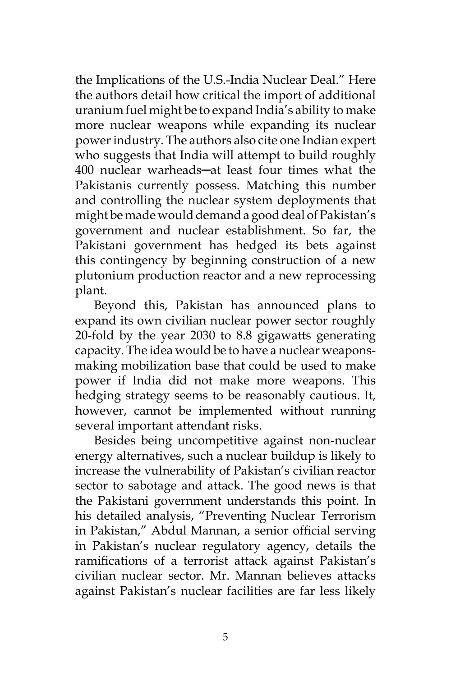the Implications of the U.S.-India Nuclear Deal." Here the authors detail how critical the import of additional uranium fuel might be to expand India's ability to make more nuclear weapons while expanding its nuclear power industry. The authors also cite one Indian expert who suggests that India will attempt to build roughly 400 nuclear warheads─at least four times what the Pakistanis currently possess. Matching this number and controlling the nuclear system deployments that might be made would demand a good deal of Pakistan's government and nuclear establishment. So far, the Pakistani government has hedged its bets against this contingency by beginning construction of a new plutonium production reactor and a new reprocessing plant.

Beyond this, Pakistan has announced plans to expand its own civilian nuclear power sector roughly 20-fold by the year 2030 to 8.8 gigawatts generating capacity. The idea would be to have a nuclear weaponsmaking mobilization base that could be used to make power if India did not make more weapons. This hedging strategy seems to be reasonably cautious. It, however, cannot be implemented without running several important attendant risks.

Besides being uncompetitive against non-nuclear energy alternatives, such a nuclear buildup is likely to increase the vulnerability of Pakistan's civilian reactor sector to sabotage and attack. The good news is that the Pakistani government understands this point. In his detailed analysis, "Preventing Nuclear Terrorism in Pakistan," Abdul Mannan, a senior official serving in Pakistan's nuclear regulatory agency, details the ramifications of a terrorist attack against Pakistan's civilian nuclear sector. Mr. Mannan believes attacks against Pakistan's nuclear facilities are far less likely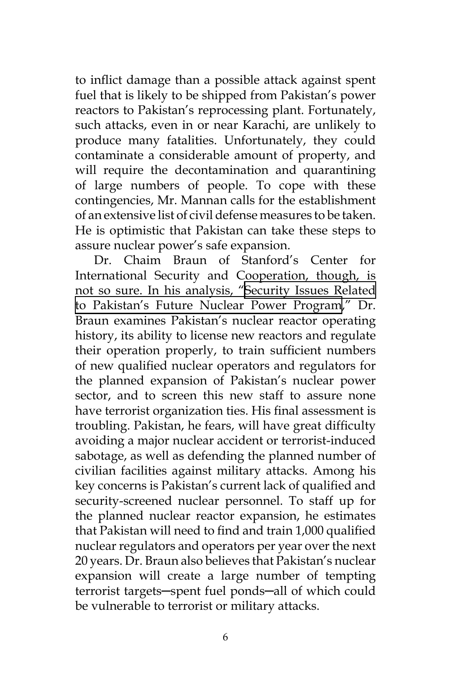to inflict damage than a possible attack against spent fuel that is likely to be shipped from Pakistan's power reactors to Pakistan's reprocessing plant. Fortunately, such attacks, even in or near Karachi, are unlikely to produce many fatalities. Unfortunately, they could contaminate a considerable amount of property, and will require the decontamination and quarantining of large numbers of people. To cope with these contingencies, Mr. Mannan calls for the establishment of an extensive list of civil defense measures to be taken. He is optimistic that Pakistan can take these steps to assure nuclear power's safe expansion.

Dr. Chaim Braun of Stanford's Center for International Security and Cooperation, though, is not so sure. In his analysis, "[Security Issues Related](http://www.npec-web.org/Essays/20060605-Braun-SecurityIssuesPakistan.pdf)  [to Pakistan's Future Nuclear Power Program,](http://www.npec-web.org/Essays/20060605-Braun-SecurityIssuesPakistan.pdf)" Dr. Braun examines Pakistan's nuclear reactor operating history, its ability to license new reactors and regulate their operation properly, to train sufficient numbers of new qualified nuclear operators and regulators for the planned expansion of Pakistan's nuclear power sector, and to screen this new staff to assure none have terrorist organization ties. His final assessment is troubling. Pakistan, he fears, will have great difficulty avoiding a major nuclear accident or terrorist-induced sabotage, as well as defending the planned number of civilian facilities against military attacks. Among his key concerns is Pakistan's current lack of qualified and security-screened nuclear personnel. To staff up for the planned nuclear reactor expansion, he estimates that Pakistan will need to find and train 1,000 qualified nuclear regulators and operators per year over the next 20 years. Dr. Braun also believes that Pakistan's nuclear expansion will create a large number of tempting terrorist targets─spent fuel ponds─all of which could be vulnerable to terrorist or military attacks.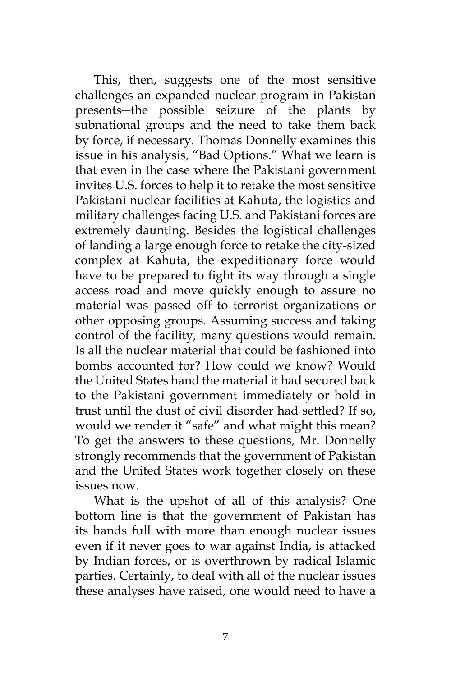This, then, suggests one of the most sensitive challenges an expanded nuclear program in Pakistan presents─the possible seizure of the plants by subnational groups and the need to take them back by force, if necessary. Thomas Donnelly examines this issue in his analysis, "Bad Options." What we learn is that even in the case where the Pakistani government invites U.S. forces to help it to retake the most sensitive Pakistani nuclear facilities at Kahuta, the logistics and military challenges facing U.S. and Pakistani forces are extremely daunting. Besides the logistical challenges of landing a large enough force to retake the city-sized complex at Kahuta, the expeditionary force would have to be prepared to fight its way through a single access road and move quickly enough to assure no material was passed off to terrorist organizations or other opposing groups. Assuming success and taking control of the facility, many questions would remain. Is all the nuclear material that could be fashioned into bombs accounted for? How could we know? Would the United States hand the material it had secured back to the Pakistani government immediately or hold in trust until the dust of civil disorder had settled? If so, would we render it "safe" and what might this mean? To get the answers to these questions, Mr. Donnelly strongly recommends that the government of Pakistan and the United States work together closely on these issues now.

What is the upshot of all of this analysis? One bottom line is that the government of Pakistan has its hands full with more than enough nuclear issues even if it never goes to war against India, is attacked by Indian forces, or is overthrown by radical Islamic parties. Certainly, to deal with all of the nuclear issues these analyses have raised, one would need to have a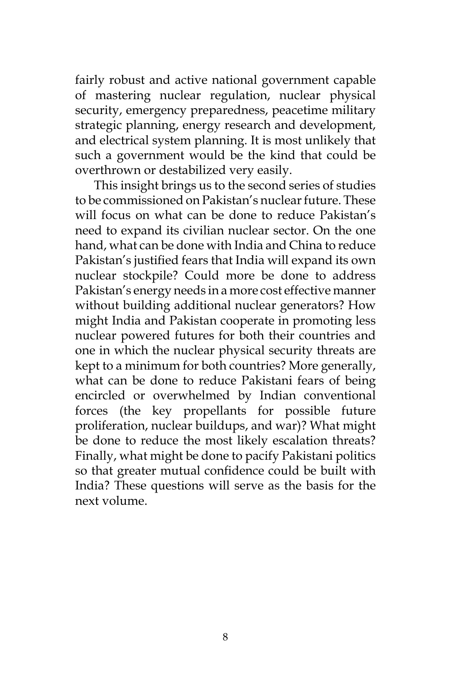fairly robust and active national government capable of mastering nuclear regulation, nuclear physical security, emergency preparedness, peacetime military strategic planning, energy research and development, and electrical system planning. It is most unlikely that such a government would be the kind that could be overthrown or destabilized very easily.

This insight brings us to the second series of studies to be commissioned on Pakistan's nuclear future. These will focus on what can be done to reduce Pakistan's need to expand its civilian nuclear sector. On the one hand, what can be done with India and China to reduce Pakistan's justified fears that India will expand its own nuclear stockpile? Could more be done to address Pakistan's energy needs in a more cost effective manner without building additional nuclear generators? How might India and Pakistan cooperate in promoting less nuclear powered futures for both their countries and one in which the nuclear physical security threats are kept to a minimum for both countries? More generally, what can be done to reduce Pakistani fears of being encircled or overwhelmed by Indian conventional forces (the key propellants for possible future proliferation, nuclear buildups, and war)? What might be done to reduce the most likely escalation threats? Finally, what might be done to pacify Pakistani politics so that greater mutual confidence could be built with India? These questions will serve as the basis for the next volume.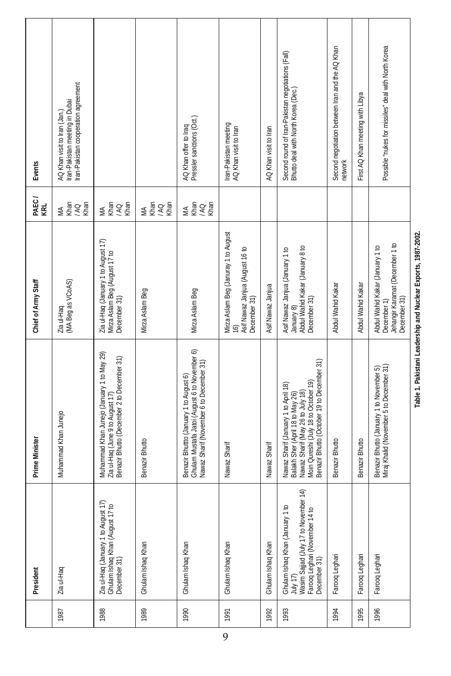| Events              | Iran-Pakistan cooperation agreement<br>Iran-Pakistan meeting in Dubai<br>AQ Khan visit to Iran (Jan.) |                                                                                                                              |                            | AQ Khan offer to Iraq<br>Pressler sanctions (Oct.)                                                                                  | Iran-Pakistan meeting<br>AQ Khan visit to Iran                                                             | AQ Khan visit to Iran | Second round of Iran-Pakistan negotiations (Fall)<br>Bhutto deal with North Korea (Dec.)                                                                                                           | Second negotiation between Iran and the AQ Khan<br>network | First AQ Khan meeting with Libya | Possible "nukes for missiles" deal with North Korea                                               |
|---------------------|-------------------------------------------------------------------------------------------------------|------------------------------------------------------------------------------------------------------------------------------|----------------------------|-------------------------------------------------------------------------------------------------------------------------------------|------------------------------------------------------------------------------------------------------------|-----------------------|----------------------------------------------------------------------------------------------------------------------------------------------------------------------------------------------------|------------------------------------------------------------|----------------------------------|---------------------------------------------------------------------------------------------------|
| PAEC /<br>KRL       | Khan<br>Khan<br>/AQ<br>$\leq$                                                                         | MA<br>Khan<br>Khan<br>/AQ                                                                                                    | MA<br>Khan<br>Khan<br>V KO | MA<br>Khan<br>Khan<br>/AQ                                                                                                           |                                                                                                            |                       |                                                                                                                                                                                                    |                                                            |                                  |                                                                                                   |
| Chief of Army Staff | (MA Beg as VCoAS)<br>Zia ul-Haq                                                                       | Zia ul-Haq (January 1 to August 17)<br>Mirza Aslam Beg (August 17 to<br>December 31)                                         | Mirza Aslam Beg            | Mirza Aslam Beg                                                                                                                     | Mirza Aslam Beg (Januray 1 to August<br>Asif Nawaz Janjua (August 16 to<br>December 31)<br>$\overline{16}$ | Asif Nawaz Janjua     | Abdul Wahid Kakar (January 8 to<br>Asif Nawaz Janjua (January 1 to<br>December 31)<br>January 8)                                                                                                   | Abdul Wahid Kakar                                          | Abdul Wahid Kakar                | Jehangir Karamat (December 1 to<br>Abdul Wahid Kakar (January 1 to<br>December 31)<br>December 1) |
| Prime Minister      | Muhammad Khan Junejo                                                                                  | Muhammad Khan Junejo (January 1 to May 29)<br>Benazir Bhutto (December 2 to December 31)<br>Zia ul-Haq (June 9 to August 17) | Benazir Bhutto             | Ghulam Mustafa Jatoi (August 6 to November 6)<br>Nawaz Sharif (November 6 to December 31)<br>Benazir Bhutto (January 1 to August 6) | Nawaz Sharif                                                                                               | <b>Vawaz Sharif</b>   | Benazir Bhutto (October 19 to December 31)<br>Moin Qureshi (July 18 to October 19)<br>Nawaz Sharif (January 1 to April 18)<br>Balakh Sher (April 18 to May 26)<br>Nawaz Sharif (May 26 to July 18) | Benazir Bhutto                                             | Benazir Bhutto                   | Miraj Khalid (November 5 to December 31)<br>Benazir Bhutto (January 1 to November 5)              |
| President           | Zia ul-Haq                                                                                            | Zia ul-Haq (January 1 to August 17)<br>Ghulam Ishaq Khan (August 17 to<br>December 31)                                       | Ghulam Ishaq Khan          | Ghulam Ishaq Khan                                                                                                                   | Ghulam Ishaq Khan                                                                                          | Ghulam Ishaq Khan     | July 17)<br>Wasim Sajjad (July 17 to November 14)<br>Ghulam Ishaq Khan (January 1 to<br>Farooq Leghari (November 14 to<br>December 31)                                                             | Farooq Leghari                                             | Farooq Leghari                   | Farooq Leghari                                                                                    |
|                     | 1987                                                                                                  | 1988                                                                                                                         | 1989                       | 1990                                                                                                                                | 1991                                                                                                       | 1992                  | 1993                                                                                                                                                                                               | 1994                                                       | 1995                             | 1996                                                                                              |